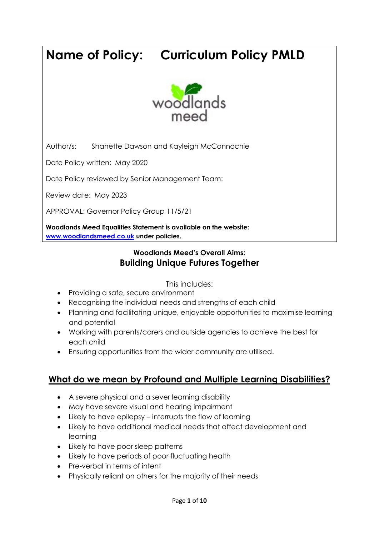# **Name of Policy: Curriculum Policy PMLD**



Author/s: Shanette Dawson and Kayleigh McConnochie

Date Policy written: May 2020

Date Policy reviewed by Senior Management Team:

Review date: May 2023

APPROVAL: Governor Policy Group 11/5/21

**Woodlands Meed Equalities Statement is available on the website: [www.woodlandsmeed.co.uk](http://www.woodlandsmeed.co.uk/) under policies.** 

# **Woodlands Meed's Overall Aims: Building Unique Futures Together**

This includes:

- Providing a safe, secure environment
- Recognising the individual needs and strengths of each child
- Planning and facilitating unique, enjoyable opportunities to maximise learning and potential
- Working with parents/carers and outside agencies to achieve the best for each child
- Ensuring opportunities from the wider community are utilised.

# **What do we mean by Profound and Multiple Learning Disabilities?**

- A severe physical and a sever learning disability
- May have severe visual and hearing impairment
- Likely to have epilepsy interrupts the flow of learning
- Likely to have additional medical needs that affect development and learning
- Likely to have poor sleep patterns
- Likely to have periods of poor fluctuating health
- Pre-verbal in terms of intent
- Physically reliant on others for the majority of their needs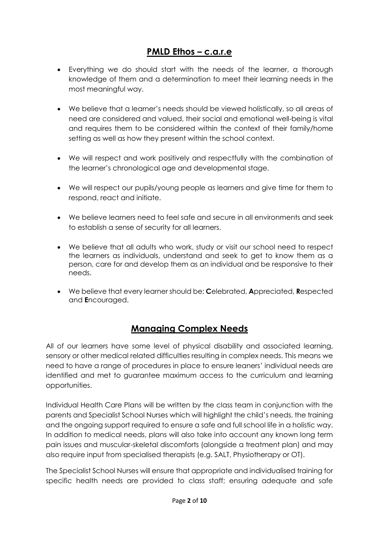# **PMLD Ethos – c.a.r.e**

- Everything we do should start with the needs of the learner, a thorough knowledge of them and a determination to meet their learning needs in the most meaningful way.
- We believe that a learner's needs should be viewed holistically, so all areas of need are considered and valued, their social and emotional well-being is vital and requires them to be considered within the context of their family/home setting as well as how they present within the school context.
- We will respect and work positively and respectfully with the combination of the learner's chronological age and developmental stage.
- We will respect our pupils/young people as learners and give time for them to respond, react and initiate.
- We believe learners need to feel safe and secure in all environments and seek to establish a sense of security for all learners.
- We believe that all adults who work, study or visit our school need to respect the learners as individuals, understand and seek to get to know them as a person, care for and develop them as an individual and be responsive to their needs.
- We believe that every learner should be; **C**elebrated, **A**ppreciated, **R**espected and **E**ncouraged.

# **Managing Complex Needs**

All of our learners have some level of physical disability and associated learning, sensory or other medical related difficulties resulting in complex needs. This means we need to have a range of procedures in place to ensure leaners' individual needs are identified and met to guarantee maximum access to the curriculum and learning opportunities.

Individual Health Care Plans will be written by the class team in conjunction with the parents and Specialist School Nurses which will highlight the child's needs, the training and the ongoing support required to ensure a safe and full school life in a holistic way. In addition to medical needs, plans will also take into account any known long term pain issues and muscular-skeletal discomforts (alongside a treatment plan) and may also require input from specialised therapists (e.g. SALT, Physiotherapy or OT).

The Specialist School Nurses will ensure that appropriate and individualised training for specific health needs are provided to class staff; ensuring adequate and safe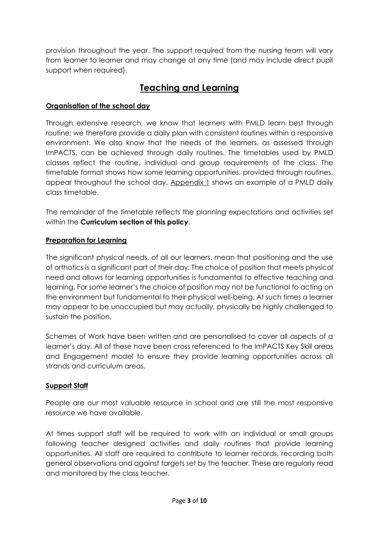provision throughout the year. The support required from the nursing team will vary from learner to learner and may change at any time (and may include direct pupil support when required).

# **Teaching and Learning**

# **Organisation of the school day**

Through extensive research, we know that learners with PMLD learn best through routine; we therefore provide a daily plan with consistent routines within a responsive environment. We also know that the needs of the learners, as assessed through ImPACTS, can be achieved through daily routines. The timetables used by PMLD classes reflect the routine, individual and group requirements of the class. The timetable format shows how some learning opportunities, provided through routines, appear throughout the school day. Appendix 1 shows an example of a PMLD daily class timetable.

The remainder of the timetable reflects the planning expectations and activities set within the **Curriculum section of this policy**.

## **Preparation for Learning**

The significant physical needs, of all our learners, mean that positioning and the use of orthotics is a significant part of their day. The choice of position that meets physical need and allows for learning opportunities is fundamental to effective teaching and learning. For some learner's the choice of position may not be functional to acting on the environment but fundamental to their physical well-being. At such times a learner may appear to be unoccupied but may actually, physically be highly challenged to sustain the position.

Schemes of Work have been written and are personalised to cover all aspects of a learner's day. All of these have been cross referenced to the ImPACTS Key Skill areas and Engagement model to ensure they provide learning opportunities across all strands and curriculum areas.

## **Support Staff**

People are our most valuable resource in school and are still the most responsive resource we have available.

At times support staff will be required to work with an individual or small groups following teacher designed activities and daily routines that provide learning opportunities. All staff are required to contribute to learner records, recording both general observations and against targets set by the teacher. These are regularly read and monitored by the class teacher.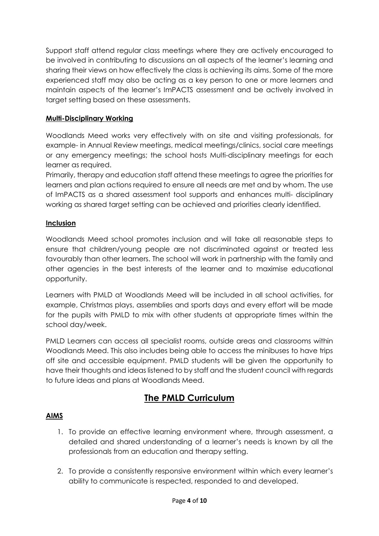Support staff attend regular class meetings where they are actively encouraged to be involved in contributing to discussions an all aspects of the learner's learning and sharing their views on how effectively the class is achieving its aims. Some of the more experienced staff may also be acting as a key person to one or more learners and maintain aspects of the learner's ImPACTS assessment and be actively involved in target setting based on these assessments.

### **Multi-Disciplinary Working**

Woodlands Meed works very effectively with on site and visiting professionals, for example- in Annual Review meetings, medical meetings/clinics, social care meetings or any emergency meetings; the school hosts Multi-disciplinary meetings for each learner as required.

Primarily, therapy and education staff attend these meetings to agree the priorities for learners and plan actions required to ensure all needs are met and by whom. The use of ImPACTS as a shared assessment tool supports and enhances multi- disciplinary working as shared target setting can be achieved and priorities clearly identified.

#### **Inclusion**

Woodlands Meed school promotes inclusion and will take all reasonable steps to ensure that children/young people are not discriminated against or treated less favourably than other learners. The school will work in partnership with the family and other agencies in the best interests of the learner and to maximise educational opportunity.

Learners with PMLD at Woodlands Meed will be included in all school activities, for example, Christmas plays, assemblies and sports days and every effort will be made for the pupils with PMLD to mix with other students at appropriate times within the school day/week.

PMLD Learners can access all specialist rooms, outside areas and classrooms within Woodlands Meed. This also includes being able to access the minibuses to have trips off site and accessible equipment. PMLD students will be given the opportunity to have their thoughts and ideas listened to by staff and the student council with regards to future ideas and plans at Woodlands Meed.

# **The PMLD Curriculum**

#### **AIMS**

- 1. To provide an effective learning environment where, through assessment, a detailed and shared understanding of a learner's needs is known by all the professionals from an education and therapy setting.
- 2. To provide a consistently responsive environment within which every learner's ability to communicate is respected, responded to and developed.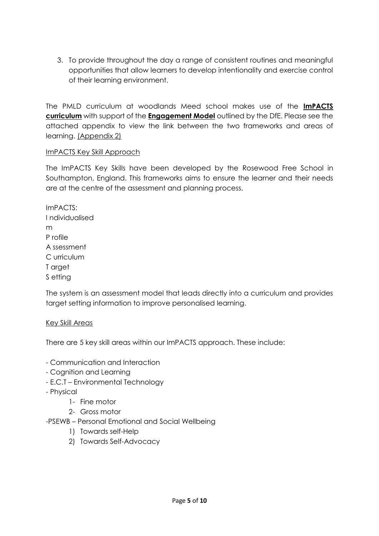3. To provide throughout the day a range of consistent routines and meaningful opportunities that allow learners to develop intentionality and exercise control of their learning environment.

The PMLD curriculum at woodlands Meed school makes use of the **ImPACTS curriculum** with support of the **Engagement Model** outlined by the DfE. Please see the attached appendix to view the link between the two frameworks and areas of learning. (Appendix 2)

#### ImPACTS Key Skill Approach

The ImPACTS Key Skills have been developed by the Rosewood Free School in Southampton, England. This frameworks aims to ensure the learner and their needs are at the centre of the assessment and planning process.

ImPACTS: I ndividualised m P rofile A ssessment C urriculum T arget S etting

The system is an assessment model that leads directly into a curriculum and provides target setting information to improve personalised learning.

#### Key Skill Areas

There are 5 key skill areas within our ImPACTS approach. These include:

- Communication and Interaction
- Cognition and Learning
- E.C.T Environmental Technology
- Physical
	- 1- Fine motor
	- 2- Gross motor
- -PSEWB Personal Emotional and Social Wellbeing
	- 1) Towards self-Help
	- 2) Towards Self-Advocacy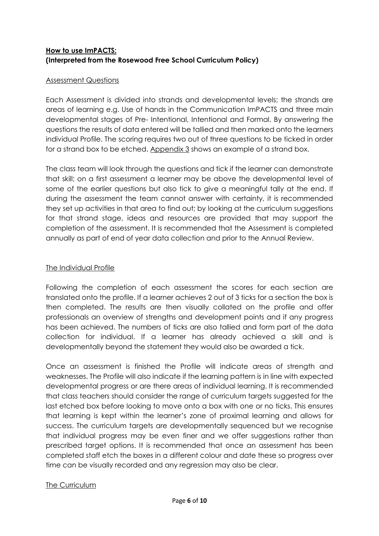# **How to use ImPACTS: (Interpreted from the Rosewood Free School Curriculum Policy)**

#### Assessment Questions

Each Assessment is divided into strands and developmental levels; the strands are areas of learning e.g. Use of hands in the Communication ImPACTS and three main developmental stages of Pre- Intentional, Intentional and Formal. By answering the questions the results of data entered will be tallied and then marked onto the learners individual Profile. The scoring requires two out of three questions to be ticked in order for a strand box to be etched. Appendix 3 shows an example of a strand box.

The class team will look through the questions and tick if the learner can demonstrate that skill; on a first assessment a learner may be above the developmental level of some of the earlier questions but also tick to give a meaningful tally at the end. If during the assessment the team cannot answer with certainty, it is recommended they set up activities in that area to find out; by looking at the curriculum suggestions for that strand stage, ideas and resources are provided that may support the completion of the assessment. It is recommended that the Assessment is completed annually as part of end of year data collection and prior to the Annual Review.

#### The Individual Profile

Following the completion of each assessment the scores for each section are translated onto the profile. If a learner achieves 2 out of 3 ticks for a section the box is then completed. The results are then visually collated on the profile and offer professionals an overview of strengths and development points and if any progress has been achieved. The numbers of ticks are also tallied and form part of the data collection for individual. If a learner has already achieved a skill and is developmentally beyond the statement they would also be awarded a tick.

Once an assessment is finished the Profile will indicate areas of strength and weaknesses. The Profile will also indicate if the learning pattern is in line with expected developmental progress or are there areas of individual learning. It is recommended that class teachers should consider the range of curriculum targets suggested for the last etched box before looking to move onto a box with one or no ticks. This ensures that learning is kept within the learner's zone of proximal learning and allows for success. The curriculum targets are developmentally sequenced but we recognise that individual progress may be even finer and we offer suggestions rather than prescribed target options. It is recommended that once an assessment has been completed staff etch the boxes in a different colour and date these so progress over time can be visually recorded and any regression may also be clear.

## The Curriculum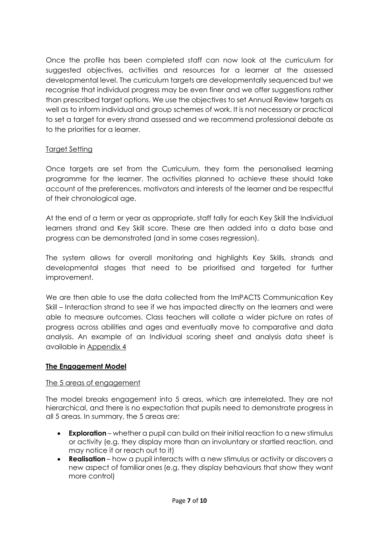Once the profile has been completed staff can now look at the curriculum for suggested objectives, activities and resources for a learner at the assessed developmental level. The curriculum targets are developmentally sequenced but we recognise that individual progress may be even finer and we offer suggestions rather than prescribed target options. We use the objectives to set Annual Review targets as well as to inform individual and group schemes of work. It is not necessary or practical to set a target for every strand assessed and we recommend professional debate as to the priorities for a learner.

#### Target Setting

Once targets are set from the Curriculum, they form the personalised learning programme for the learner. The activities planned to achieve these should take account of the preferences, motivators and interests of the learner and be respectful of their chronological age.

At the end of a term or year as appropriate, staff tally for each Key Skill the Individual learners strand and Key Skill score. These are then added into a data base and progress can be demonstrated (and in some cases regression).

The system allows for overall monitoring and highlights Key Skills, strands and developmental stages that need to be prioritised and targeted for further improvement.

We are then able to use the data collected from the ImPACTS Communication Key Skill – Interaction strand to see if we has impacted directly on the learners and were able to measure outcomes. Class teachers will collate a wider picture on rates of progress across abilities and ages and eventually move to comparative and data analysis. An example of an Individual scoring sheet and analysis data sheet is available in Appendix 4

#### **The Engagement Model**

#### The 5 areas of engagement

The model breaks engagement into 5 areas, which are interrelated. They are not hierarchical, and there is no expectation that pupils need to demonstrate progress in all 5 areas. In summary, the 5 areas are:

- **Exploration** whether a pupil can build on their initial reaction to a new stimulus or activity (e.g. they display more than an involuntary or startled reaction, and may notice it or reach out to it)
- **Realisation** how a pupil interacts with a new stimulus or activity or discovers a new aspect of familiar ones (e.g. they display behaviours that show they want more control)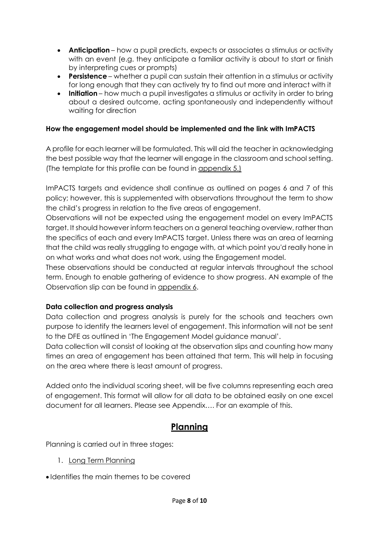- **Anticipation** how a pupil predicts, expects or associates a stimulus or activity with an event (e.g. they anticipate a familiar activity is about to start or finish by interpreting cues or prompts)
- **Persistence** whether a pupil can sustain their attention in a stimulus or activity for long enough that they can actively try to find out more and interact with it
- **Initiation** how much a pupil investigates a stimulus or activity in order to bring about a desired outcome, acting spontaneously and independently without waiting for direction

## **How the engagement model should be implemented and the link with ImPACTS**

A profile for each learner will be formulated. This will aid the teacher in acknowledging the best possible way that the learner will engage in the classroom and school setting. (The template for this profile can be found in appendix 5.)

ImPACTS targets and evidence shall continue as outlined on pages 6 and 7 of this policy; however, this is supplemented with observations throughout the term to show the child's progress in relation to the five areas of engagement.

Observations will not be expected using the engagement model on every ImPACTS target. It should however inform teachers on a general teaching overview, rather than the specifics of each and every ImPACTS target. Unless there was an area of learning that the child was really struggling to engage with, at which point you'd really hone in on what works and what does not work, using the Engagement model.

These observations should be conducted at regular intervals throughout the school term. Enough to enable gathering of evidence to show progress. AN example of the Observation slip can be found in appendix 6.

## **Data collection and progress analysis**

Data collection and progress analysis is purely for the schools and teachers own purpose to identify the learners level of engagement. This information will not be sent to the DFE as outlined in 'The Engagement Model guidance manual'.

Data collection will consist of looking at the observation slips and counting how many times an area of engagement has been attained that term. This will help in focusing on the area where there is least amount of progress.

Added onto the individual scoring sheet, will be five columns representing each area of engagement. This format will allow for all data to be obtained easily on one excel document for all learners. Please see Appendix…. For an example of this.

# **Planning**

Planning is carried out in three stages:

- 1. Long Term Planning
- Identifies the main themes to be covered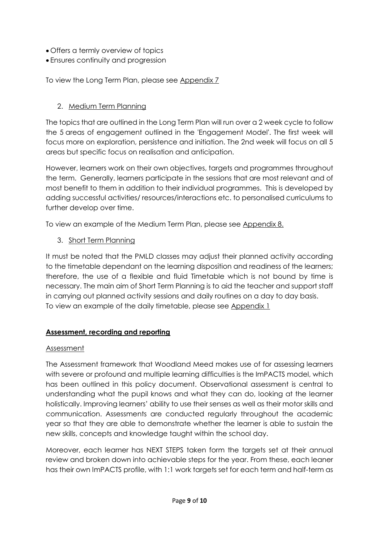- Offers a termly overview of topics
- Ensures continuity and progression

To view the Long Term Plan, please see Appendix 7

# 2. Medium Term Planning

The topics that are outlined in the Long Term Plan will run over a 2 week cycle to follow the 5 areas of engagement outlined in the 'Engagement Model'. The first week will focus more on exploration, persistence and initiation. The 2nd week will focus on all 5 areas but specific focus on realisation and anticipation.

However, learners work on their own objectives, targets and programmes throughout the term. Generally, learners participate in the sessions that are most relevant and of most benefit to them in addition to their individual programmes. This is developed by adding successful activities/ resources/interactions etc. to personalised curriculums to further develop over time.

To view an example of the Medium Term Plan, please see Appendix 8.

3. Short Term Planning

It must be noted that the PMLD classes may adjust their planned activity according to the timetable dependant on the learning disposition and readiness of the learners; therefore, the use of a flexible and fluid Timetable which is not bound by time is necessary. The main aim of Short Term Planning is to aid the teacher and support staff in carrying out planned activity sessions and daily routines on a day to day basis. To view an example of the daily timetable, please see Appendix 1

## **Assessment, recording and reporting**

## Assessment

The Assessment framework that Woodland Meed makes use of for assessing learners with severe or profound and multiple learning difficulties is the ImPACTS model, which has been outlined in this policy document. Observational assessment is central to understanding what the pupil knows and what they can do, looking at the learner holistically. Improving learners' ability to use their senses as well as their motor skills and communication. Assessments are conducted regularly throughout the academic year so that they are able to demonstrate whether the learner is able to sustain the new skills, concepts and knowledge taught within the school day.

Moreover, each learner has NEXT STEPS taken form the targets set at their annual review and broken down into achievable steps for the year. From these, each leaner has their own ImPACTS profile, with 1:1 work targets set for each term and half-term as